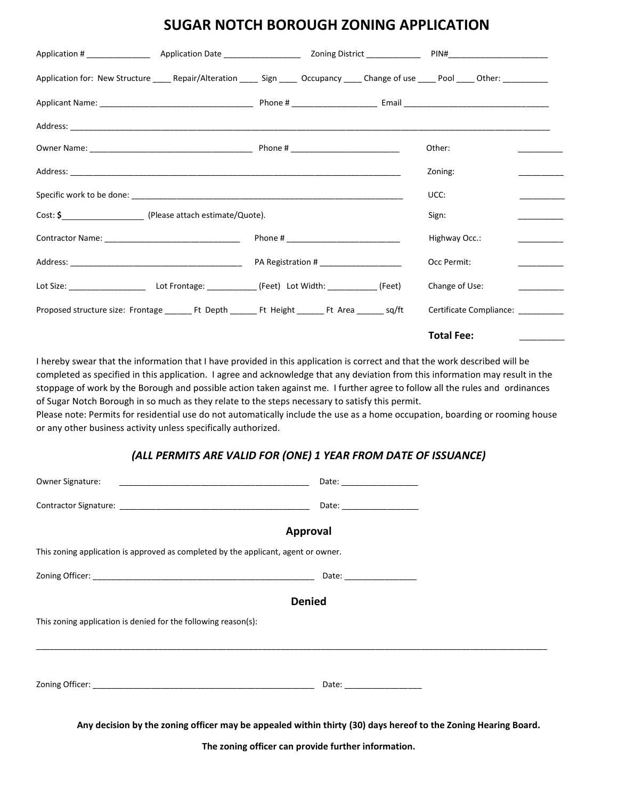## **SUGAR NOTCH BOROUGH ZONING APPLICATION**

| Application for: New Structure _____ Repair/Alteration ______ Sign _____ Occupancy _____ Change of use _____ Pool ____ Other: ___________ |                                         |
|-------------------------------------------------------------------------------------------------------------------------------------------|-----------------------------------------|
|                                                                                                                                           |                                         |
|                                                                                                                                           |                                         |
|                                                                                                                                           | Other:                                  |
|                                                                                                                                           | Zoning:                                 |
|                                                                                                                                           | UCC:                                    |
|                                                                                                                                           | Sign:                                   |
|                                                                                                                                           | Highway Occ.:                           |
|                                                                                                                                           | Occ Permit:                             |
|                                                                                                                                           | Change of Use:<br><u> 1999 - Jan Ja</u> |
| Proposed structure size: Frontage ________ Ft Depth ________ Ft Height ________ Ft Area _______ sq/ft                                     | Certificate Compliance: _________       |
|                                                                                                                                           | <b>Total Fee:</b>                       |

I hereby swear that the information that I have provided in this application is correct and that the work described will be completed as specified in this application. I agree and acknowledge that any deviation from this information may result in the stoppage of work by the Borough and possible action taken against me. I further agree to follow all the rules and ordinances of Sugar Notch Borough in so much as they relate to the steps necessary to satisfy this permit.

Please note: Permits for residential use do not automatically include the use as a home occupation, boarding or rooming house or any other business activity unless specifically authorized.

## *(ALL PERMITS ARE VALID FOR (ONE) 1 YEAR FROM DATE OF ISSUANCE)*

| Owner Signature: The contract of the contract of the contract of the contract of the contract of the contract of the contract of the contract of the contract of the contract of the contract of the contract of the contract | Date: ___________________                                                                                                                                                                                                      |  |  |  |
|-------------------------------------------------------------------------------------------------------------------------------------------------------------------------------------------------------------------------------|--------------------------------------------------------------------------------------------------------------------------------------------------------------------------------------------------------------------------------|--|--|--|
|                                                                                                                                                                                                                               | Date: the contract of the contract of the contract of the contract of the contract of the contract of the contract of the contract of the contract of the contract of the contract of the contract of the contract of the cont |  |  |  |
|                                                                                                                                                                                                                               | Approval                                                                                                                                                                                                                       |  |  |  |
| This zoning application is approved as completed by the applicant, agent or owner.                                                                                                                                            |                                                                                                                                                                                                                                |  |  |  |
|                                                                                                                                                                                                                               |                                                                                                                                                                                                                                |  |  |  |
| <b>Denied</b>                                                                                                                                                                                                                 |                                                                                                                                                                                                                                |  |  |  |
| This zoning application is denied for the following reason(s):                                                                                                                                                                |                                                                                                                                                                                                                                |  |  |  |
|                                                                                                                                                                                                                               |                                                                                                                                                                                                                                |  |  |  |
|                                                                                                                                                                                                                               |                                                                                                                                                                                                                                |  |  |  |
|                                                                                                                                                                                                                               | Any decision by the zoning officer may be appealed within thirty (30) days hereof to the Zoning Hearing Board.                                                                                                                 |  |  |  |
| The zoning officer can provide further information.                                                                                                                                                                           |                                                                                                                                                                                                                                |  |  |  |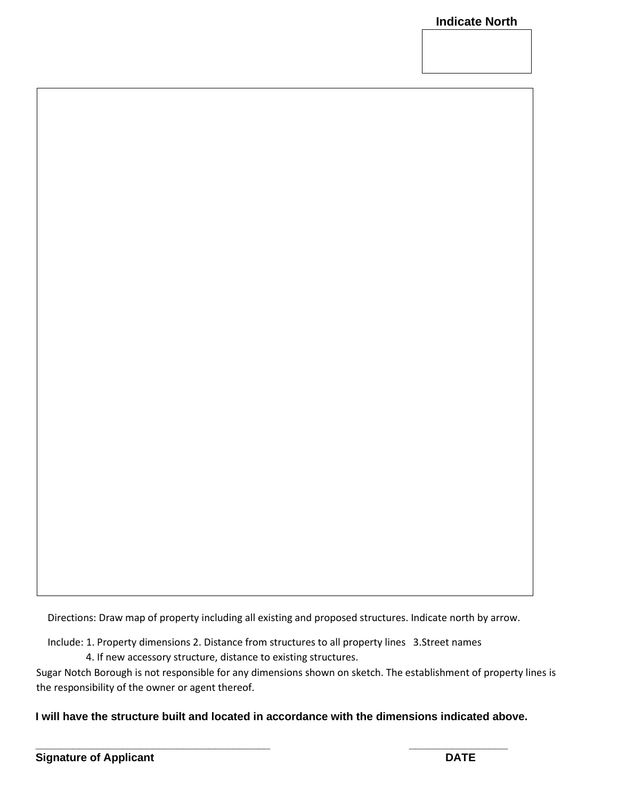Directions: Draw map of property including all existing and proposed structures. Indicate north by arrow.

Include: 1. Property dimensions 2. Distance from structures to all property lines 3.Street names

4. If new accessory structure, distance to existing structures.

Sugar Notch Borough is not responsible for any dimensions shown on sketch. The establishment of property lines is the responsibility of the owner or agent thereof.

**I will have the structure built and located in accordance with the dimensions indicated above.** 

**\_\_\_\_\_\_\_\_\_\_\_\_\_\_\_\_\_\_\_\_\_\_\_\_\_\_\_\_\_\_\_\_\_\_\_\_\_\_ \_\_\_\_\_\_\_\_\_\_\_\_\_\_\_\_**